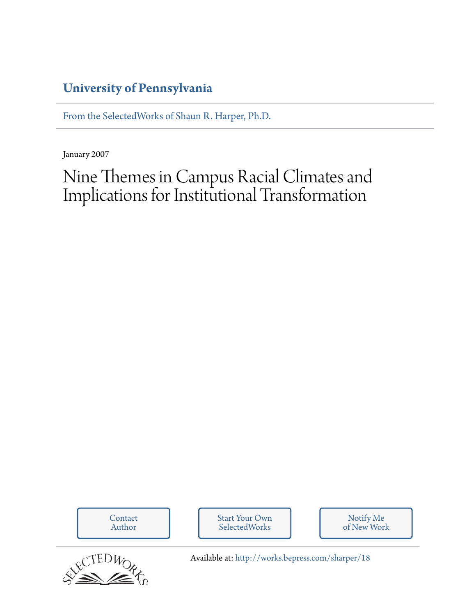## **[University of Pennsylvania](http://repository.upenn.edu)**

[From the SelectedWorks of Shaun R. Harper, Ph.D.](http://works.bepress.com/sharper)

January 2007

# Nine Themes in Campus Racial Climates and Implications for Institutional Transformation

[Start Your Own](http://works.bepress.com/cgi/sw_user_setup.cgi) Notify Me **[Contact](http://works.bepress.com/sharper/contact.html)** Author SelectedWorks [of New Work](http://works.bepress.com/sharper) FCTEDHOP Available at: <http://works.bepress.com/sharper/18>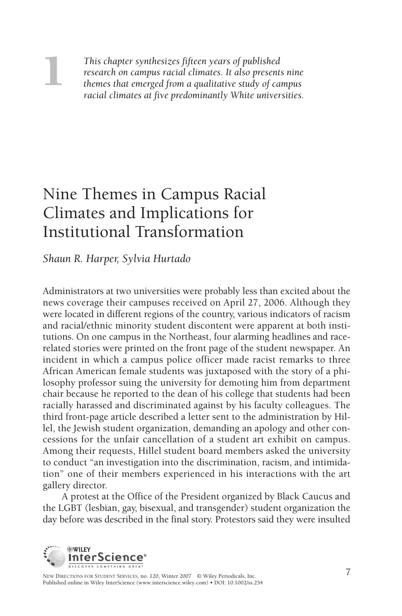# 1

*This chapter synthesizes fifteen years of published research on campus racial climates. It also presents nine themes that emerged from a qualitative study of campus racial climates at five predominantly White universities.*

## Nine Themes in Campus Racial Climates and Implications for Institutional Transformation

*Shaun R. Harper, Sylvia Hurtado*

Administrators at two universities were probably less than excited about the news coverage their campuses received on April 27, 2006. Although they were located in different regions of the country, various indicators of racism and racial/ethnic minority student discontent were apparent at both institutions. On one campus in the Northeast, four alarming headlines and racerelated stories were printed on the front page of the student newspaper. An incident in which a campus police officer made racist remarks to three African American female students was juxtaposed with the story of a philosophy professor suing the university for demoting him from department chair because he reported to the dean of his college that students had been racially harassed and discriminated against by his faculty colleagues. The third front-page article described a letter sent to the administration by Hillel, the Jewish student organization, demanding an apology and other concessions for the unfair cancellation of a student art exhibit on campus. Among their requests, Hillel student board members asked the university to conduct "an investigation into the discrimination, racism, and intimidation" one of their members experienced in his interactions with the art gallery director.

A protest at the Office of the President organized by Black Caucus and the LGBT (lesbian, gay, bisexual, and transgender) student organization the day before was described in the final story. Protestors said they were insulted

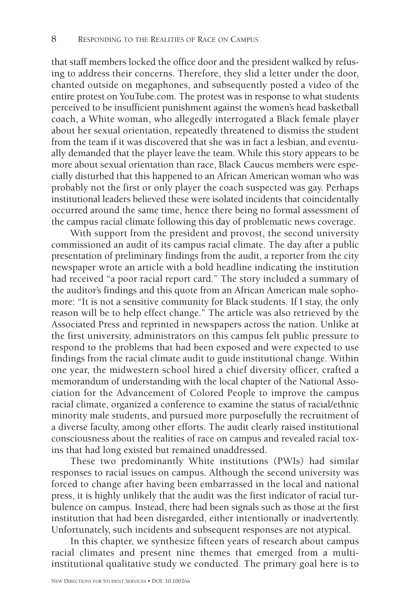that staff members locked the office door and the president walked by refusing to address their concerns. Therefore, they slid a letter under the door, chanted outside on megaphones, and subsequently posted a video of the entire protest on YouTube.com. The protest was in response to what students perceived to be insufficient punishment against the women's head basketball coach, a White woman, who allegedly interrogated a Black female player about her sexual orientation, repeatedly threatened to dismiss the student from the team if it was discovered that she was in fact a lesbian, and eventually demanded that the player leave the team. While this story appears to be more about sexual orientation than race, Black Caucus members were especially disturbed that this happened to an African American woman who was probably not the first or only player the coach suspected was gay. Perhaps institutional leaders believed these were isolated incidents that coincidentally occurred around the same time, hence there being no formal assessment of the campus racial climate following this day of problematic news coverage.

With support from the president and provost, the second university commissioned an audit of its campus racial climate. The day after a public presentation of preliminary findings from the audit, a reporter from the city newspaper wrote an article with a bold headline indicating the institution had received "a poor racial report card." The story included a summary of the auditor's findings and this quote from an African American male sophomore: "It is not a sensitive community for Black students. If I stay, the only reason will be to help effect change." The article was also retrieved by the Associated Press and reprinted in newspapers across the nation. Unlike at the first university, administrators on this campus felt public pressure to respond to the problems that had been exposed and were expected to use findings from the racial climate audit to guide institutional change. Within one year, the midwestern school hired a chief diversity officer, crafted a memorandum of understanding with the local chapter of the National Association for the Advancement of Colored People to improve the campus racial climate, organized a conference to examine the status of racial/ethnic minority male students, and pursued more purposefully the recruitment of a diverse faculty, among other efforts. The audit clearly raised institutional consciousness about the realities of race on campus and revealed racial toxins that had long existed but remained unaddressed.

These two predominantly White institutions (PWIs) had similar responses to racial issues on campus. Although the second university was forced to change after having been embarrassed in the local and national press, it is highly unlikely that the audit was the first indicator of racial turbulence on campus. Instead, there had been signals such as those at the first institution that had been disregarded, either intentionally or inadvertently. Unfortunately, such incidents and subsequent responses are not atypical.

In this chapter, we synthesize fifteen years of research about campus racial climates and present nine themes that emerged from a multiinstitutional qualitative study we conducted. The primary goal here is to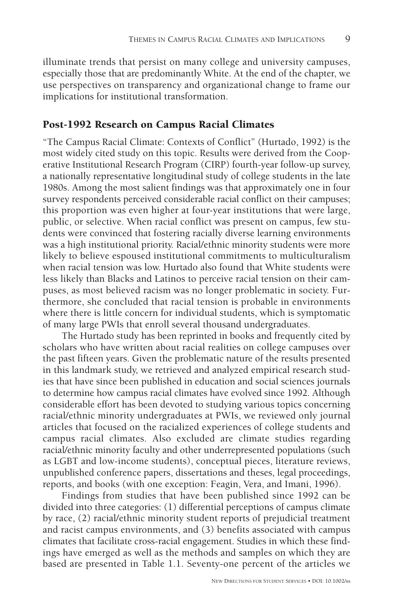illuminate trends that persist on many college and university campuses, especially those that are predominantly White. At the end of the chapter, we use perspectives on transparency and organizational change to frame our implications for institutional transformation.

#### Post-1992 Research on Campus Racial Climates

"The Campus Racial Climate: Contexts of Conflict" (Hurtado, 1992) is the most widely cited study on this topic. Results were derived from the Cooperative Institutional Research Program (CIRP) fourth-year follow-up survey, a nationally representative longitudinal study of college students in the late 1980s. Among the most salient findings was that approximately one in four survey respondents perceived considerable racial conflict on their campuses; this proportion was even higher at four-year institutions that were large, public, or selective. When racial conflict was present on campus, few students were convinced that fostering racially diverse learning environments was a high institutional priority. Racial/ethnic minority students were more likely to believe espoused institutional commitments to multiculturalism when racial tension was low. Hurtado also found that White students were less likely than Blacks and Latinos to perceive racial tension on their campuses, as most believed racism was no longer problematic in society. Furthermore, she concluded that racial tension is probable in environments where there is little concern for individual students, which is symptomatic of many large PWIs that enroll several thousand undergraduates.

The Hurtado study has been reprinted in books and frequently cited by scholars who have written about racial realities on college campuses over the past fifteen years. Given the problematic nature of the results presented in this landmark study, we retrieved and analyzed empirical research studies that have since been published in education and social sciences journals to determine how campus racial climates have evolved since 1992. Although considerable effort has been devoted to studying various topics concerning racial/ethnic minority undergraduates at PWIs, we reviewed only journal articles that focused on the racialized experiences of college students and campus racial climates. Also excluded are climate studies regarding racial/ethnic minority faculty and other underrepresented populations (such as LGBT and low-income students), conceptual pieces, literature reviews, unpublished conference papers, dissertations and theses, legal proceedings, reports, and books (with one exception: Feagin, Vera, and Imani, 1996).

Findings from studies that have been published since 1992 can be divided into three categories: (1) differential perceptions of campus climate by race, (2) racial/ethnic minority student reports of prejudicial treatment and racist campus environments, and (3) benefits associated with campus climates that facilitate cross-racial engagement. Studies in which these findings have emerged as well as the methods and samples on which they are based are presented in Table 1.1. Seventy-one percent of the articles we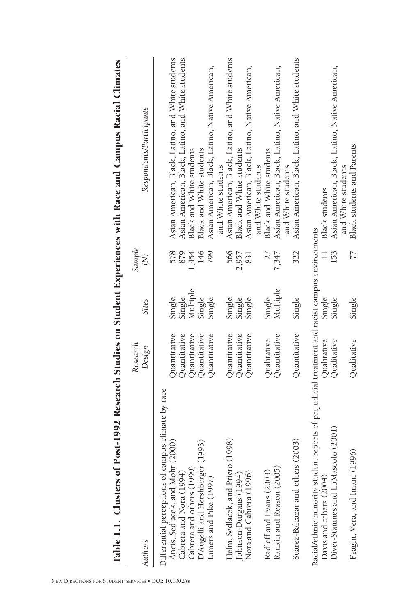| New Directions for Student Services . DOI: 10.1002/ss                                                                                                           |                              |                    |              | Table 1.1. Clusters of Post-1992 Research Studies on Student Experiences with Race and Campus Racial Climates |
|-----------------------------------------------------------------------------------------------------------------------------------------------------------------|------------------------------|--------------------|--------------|---------------------------------------------------------------------------------------------------------------|
| Authors                                                                                                                                                         | Research<br>Design           | <b>Sites</b>       | Sample<br>E) | Respondents/Participants                                                                                      |
| Differential perceptions of campus climate by race<br>Ancis, Sedlacek, and Mohr (2000)                                                                          | Quantitative                 | Single             | 578          | Asian American, Black, Latino, and White students                                                             |
| Cabrera and Nora (1994)                                                                                                                                         | Quantitative                 | Single             | 879          | Asian American, Black, Latino, and White students                                                             |
| Cabrera and others (1999)                                                                                                                                       | Quantitative<br>Quantitative | Multiple<br>Single | 146<br>1,454 | Black and White students<br>Black and White students                                                          |
| D'Augelli and Hershberger (1993)<br>Eimers and Pike (1997)                                                                                                      | Quantitative                 | Single             | 799          | Asian American, Black, Latino, Native American,                                                               |
|                                                                                                                                                                 |                              |                    |              | and White students                                                                                            |
| Helm, Sedlacek, and Prieto (1998)                                                                                                                               | Quantitative<br>Quantitative | Single             | 566<br>2,957 | Asian American, Black, Latino, and White students<br>Black and White students                                 |
| Johnson-Durgans (1994)<br>Nora and Cabrera (1996)                                                                                                               | Quantitative                 | Single<br>Single   | 831          | Asian American, Black, Latino, Native American,                                                               |
| Radloff and Evans (2003)                                                                                                                                        | Qualitative                  | Single             | 27           | Black and White students<br>and White students                                                                |
| Rankin and Reason (2005)                                                                                                                                        | Quantitative                 | Multiple           | 7,347        | Asian American, Black, Latino, Native American,                                                               |
| Suarez-Balcazar and others (2003)                                                                                                                               | Quantitative                 | Single             | 322          | Asian American, Black, Latino, and White students<br>and White students                                       |
| Racial/ethnic minority student reports of prejudicial treatment and racist campus environments<br>Diver-Stamnes and LoMascolo (2001)<br>Davis and others (2004) | Qualitative<br>Qualitative   | Single<br>Single   | 153          | Asian American, Black, Latino, Native American,<br>and White students<br><b>Black students</b>                |

Black students and Parents

77

Feagin, Vera, and Imani (1996) Qualitative Single 77 Black students and Parents

Qualitative

Feagin, Vera, and Imani (1996)

Single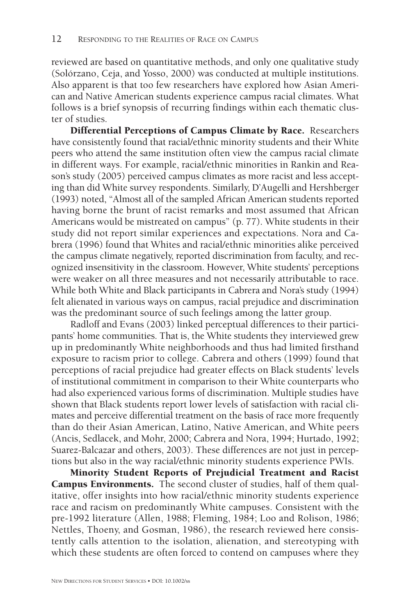reviewed are based on quantitative methods, and only one qualitative study (Solórzano, Ceja, and Yosso, 2000) was conducted at multiple institutions. Also apparent is that too few researchers have explored how Asian American and Native American students experience campus racial climates. What follows is a brief synopsis of recurring findings within each thematic cluster of studies.

Differential Perceptions of Campus Climate by Race. Researchers have consistently found that racial/ethnic minority students and their White peers who attend the same institution often view the campus racial climate in different ways. For example, racial/ethnic minorities in Rankin and Reason's study (2005) perceived campus climates as more racist and less accepting than did White survey respondents. Similarly, D'Augelli and Hershberger (1993) noted, "Almost all of the sampled African American students reported having borne the brunt of racist remarks and most assumed that African Americans would be mistreated on campus" (p. 77). White students in their study did not report similar experiences and expectations. Nora and Cabrera (1996) found that Whites and racial/ethnic minorities alike perceived the campus climate negatively, reported discrimination from faculty, and recognized insensitivity in the classroom. However, White students' perceptions were weaker on all three measures and not necessarily attributable to race. While both White and Black participants in Cabrera and Nora's study (1994) felt alienated in various ways on campus, racial prejudice and discrimination was the predominant source of such feelings among the latter group.

Radloff and Evans (2003) linked perceptual differences to their participants' home communities. That is, the White students they interviewed grew up in predominantly White neighborhoods and thus had limited firsthand exposure to racism prior to college. Cabrera and others (1999) found that perceptions of racial prejudice had greater effects on Black students' levels of institutional commitment in comparison to their White counterparts who had also experienced various forms of discrimination. Multiple studies have shown that Black students report lower levels of satisfaction with racial climates and perceive differential treatment on the basis of race more frequently than do their Asian American, Latino, Native American, and White peers (Ancis, Sedlacek, and Mohr, 2000; Cabrera and Nora, 1994; Hurtado, 1992; Suarez-Balcazar and others, 2003). These differences are not just in perceptions but also in the way racial/ethnic minority students experience PWIs.

Minority Student Reports of Prejudicial Treatment and Racist Campus Environments. The second cluster of studies, half of them qualitative, offer insights into how racial/ethnic minority students experience race and racism on predominantly White campuses. Consistent with the pre-1992 literature (Allen, 1988; Fleming, 1984; Loo and Rolison, 1986; Nettles, Thoeny, and Gosman, 1986), the research reviewed here consistently calls attention to the isolation, alienation, and stereotyping with which these students are often forced to contend on campuses where they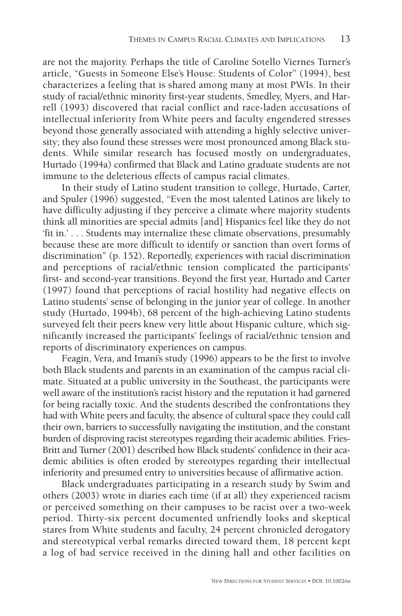are not the majority. Perhaps the title of Caroline Sotello Viernes Turner's article, "Guests in Someone Else's House: Students of Color" (1994), best characterizes a feeling that is shared among many at most PWIs. In their study of racial/ethnic minority first-year students, Smedley, Myers, and Harrell (1993) discovered that racial conflict and race-laden accusations of intellectual inferiority from White peers and faculty engendered stresses beyond those generally associated with attending a highly selective university; they also found these stresses were most pronounced among Black students. While similar research has focused mostly on undergraduates, Hurtado (1994a) confirmed that Black and Latino graduate students are not immune to the deleterious effects of campus racial climates.

In their study of Latino student transition to college, Hurtado, Carter, and Spuler (1996) suggested, "Even the most talented Latinos are likely to have difficulty adjusting if they perceive a climate where majority students think all minorities are special admits [and] Hispanics feel like they do not 'fit in.' . . . Students may internalize these climate observations, presumably because these are more difficult to identify or sanction than overt forms of discrimination" (p. 152). Reportedly, experiences with racial discrimination and perceptions of racial/ethnic tension complicated the participants' first- and second-year transitions. Beyond the first year, Hurtado and Carter (1997) found that perceptions of racial hostility had negative effects on Latino students' sense of belonging in the junior year of college. In another study (Hurtado, 1994b), 68 percent of the high-achieving Latino students surveyed felt their peers knew very little about Hispanic culture, which significantly increased the participants' feelings of racial/ethnic tension and reports of discriminatory experiences on campus.

Feagin, Vera, and Imani's study (1996) appears to be the first to involve both Black students and parents in an examination of the campus racial climate. Situated at a public university in the Southeast, the participants were well aware of the institution's racist history and the reputation it had garnered for being racially toxic. And the students described the confrontations they had with White peers and faculty, the absence of cultural space they could call their own, barriers to successfully navigating the institution, and the constant burden of disproving racist stereotypes regarding their academic abilities. Fries-Britt and Turner (2001) described how Black students' confidence in their academic abilities is often eroded by stereotypes regarding their intellectual inferiority and presumed entry to universities because of affirmative action.

Black undergraduates participating in a research study by Swim and others (2003) wrote in diaries each time (if at all) they experienced racism or perceived something on their campuses to be racist over a two-week period. Thirty-six percent documented unfriendly looks and skeptical stares from White students and faculty, 24 percent chronicled derogatory and stereotypical verbal remarks directed toward them, 18 percent kept a log of bad service received in the dining hall and other facilities on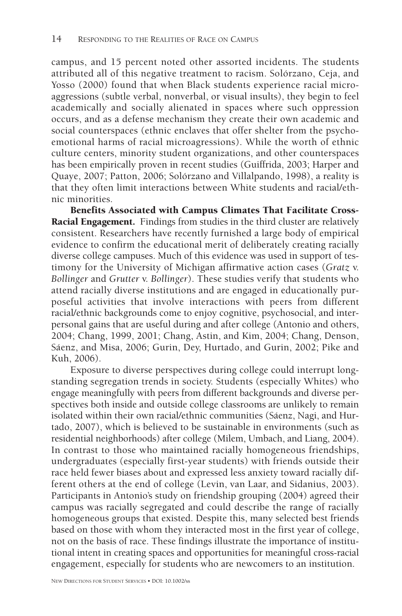campus, and 15 percent noted other assorted incidents. The students attributed all of this negative treatment to racism. Solórzano, Ceja, and Yosso (2000) found that when Black students experience racial microaggressions (subtle verbal, nonverbal, or visual insults), they begin to feel academically and socially alienated in spaces where such oppression occurs, and as a defense mechanism they create their own academic and social counterspaces (ethnic enclaves that offer shelter from the psychoemotional harms of racial microagressions). While the worth of ethnic culture centers, minority student organizations, and other counterspaces has been empirically proven in recent studies (Guiffrida, 2003; Harper and Quaye, 2007; Patton, 2006; Solórzano and Villalpando, 1998), a reality is that they often limit interactions between White students and racial/ethnic minorities.

Benefits Associated with Campus Climates That Facilitate Cross-Racial Engagement. Findings from studies in the third cluster are relatively consistent. Researchers have recently furnished a large body of empirical evidence to confirm the educational merit of deliberately creating racially diverse college campuses. Much of this evidence was used in support of testimony for the University of Michigan affirmative action cases (*Gratz* v. *Bollinger* and *Grutter* v. *Bollinger*). These studies verify that students who attend racially diverse institutions and are engaged in educationally purposeful activities that involve interactions with peers from different racial/ethnic backgrounds come to enjoy cognitive, psychosocial, and interpersonal gains that are useful during and after college (Antonio and others, 2004; Chang, 1999, 2001; Chang, Astin, and Kim, 2004; Chang, Denson, Sáenz, and Misa, 2006; Gurin, Dey, Hurtado, and Gurin, 2002; Pike and Kuh, 2006).

Exposure to diverse perspectives during college could interrupt longstanding segregation trends in society. Students (especially Whites) who engage meaningfully with peers from different backgrounds and diverse perspectives both inside and outside college classrooms are unlikely to remain isolated within their own racial/ethnic communities (Sáenz, Nagi, and Hurtado, 2007), which is believed to be sustainable in environments (such as residential neighborhoods) after college (Milem, Umbach, and Liang, 2004). In contrast to those who maintained racially homogeneous friendships, undergraduates (especially first-year students) with friends outside their race held fewer biases about and expressed less anxiety toward racially different others at the end of college (Levin, van Laar, and Sidanius, 2003). Participants in Antonio's study on friendship grouping (2004) agreed their campus was racially segregated and could describe the range of racially homogeneous groups that existed. Despite this, many selected best friends based on those with whom they interacted most in the first year of college, not on the basis of race. These findings illustrate the importance of institutional intent in creating spaces and opportunities for meaningful cross-racial engagement, especially for students who are newcomers to an institution.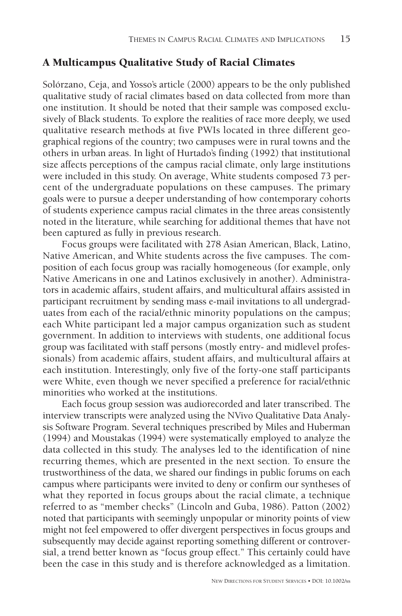#### A Multicampus Qualitative Study of Racial Climates

Solórzano, Ceja, and Yosso's article (2000) appears to be the only published qualitative study of racial climates based on data collected from more than one institution. It should be noted that their sample was composed exclusively of Black students. To explore the realities of race more deeply, we used qualitative research methods at five PWIs located in three different geographical regions of the country; two campuses were in rural towns and the others in urban areas. In light of Hurtado's finding (1992) that institutional size affects perceptions of the campus racial climate, only large institutions were included in this study. On average, White students composed 73 percent of the undergraduate populations on these campuses. The primary goals were to pursue a deeper understanding of how contemporary cohorts of students experience campus racial climates in the three areas consistently noted in the literature, while searching for additional themes that have not been captured as fully in previous research.

Focus groups were facilitated with 278 Asian American, Black, Latino, Native American, and White students across the five campuses. The composition of each focus group was racially homogeneous (for example, only Native Americans in one and Latinos exclusively in another). Administrators in academic affairs, student affairs, and multicultural affairs assisted in participant recruitment by sending mass e-mail invitations to all undergraduates from each of the racial/ethnic minority populations on the campus; each White participant led a major campus organization such as student government. In addition to interviews with students, one additional focus group was facilitated with staff persons (mostly entry- and midlevel professionals) from academic affairs, student affairs, and multicultural affairs at each institution. Interestingly, only five of the forty-one staff participants were White, even though we never specified a preference for racial/ethnic minorities who worked at the institutions.

Each focus group session was audiorecorded and later transcribed. The interview transcripts were analyzed using the NVivo Qualitative Data Analysis Software Program. Several techniques prescribed by Miles and Huberman (1994) and Moustakas (1994) were systematically employed to analyze the data collected in this study. The analyses led to the identification of nine recurring themes, which are presented in the next section. To ensure the trustworthiness of the data, we shared our findings in public forums on each campus where participants were invited to deny or confirm our syntheses of what they reported in focus groups about the racial climate, a technique referred to as "member checks" (Lincoln and Guba, 1986). Patton (2002) noted that participants with seemingly unpopular or minority points of view might not feel empowered to offer divergent perspectives in focus groups and subsequently may decide against reporting something different or controversial, a trend better known as "focus group effect." This certainly could have been the case in this study and is therefore acknowledged as a limitation.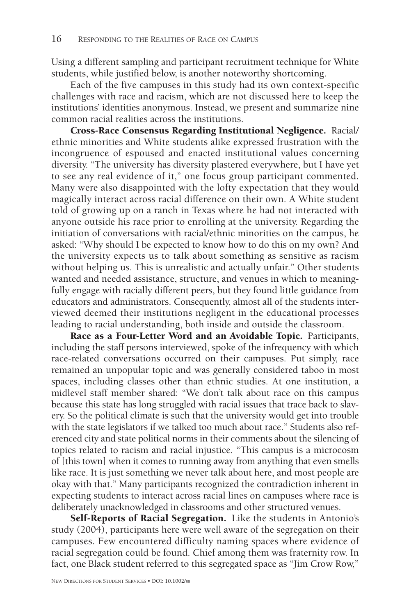Using a different sampling and participant recruitment technique for White students, while justified below, is another noteworthy shortcoming.

Each of the five campuses in this study had its own context-specific challenges with race and racism, which are not discussed here to keep the institutions' identities anonymous. Instead, we present and summarize nine common racial realities across the institutions.

Cross-Race Consensus Regarding Institutional Negligence. Racial/ ethnic minorities and White students alike expressed frustration with the incongruence of espoused and enacted institutional values concerning diversity. "The university has diversity plastered everywhere, but I have yet to see any real evidence of it," one focus group participant commented. Many were also disappointed with the lofty expectation that they would magically interact across racial difference on their own. A White student told of growing up on a ranch in Texas where he had not interacted with anyone outside his race prior to enrolling at the university. Regarding the initiation of conversations with racial/ethnic minorities on the campus, he asked: "Why should I be expected to know how to do this on my own? And the university expects us to talk about something as sensitive as racism without helping us. This is unrealistic and actually unfair." Other students wanted and needed assistance, structure, and venues in which to meaningfully engage with racially different peers, but they found little guidance from educators and administrators. Consequently, almost all of the students interviewed deemed their institutions negligent in the educational processes leading to racial understanding, both inside and outside the classroom.

Race as a Four-Letter Word and an Avoidable Topic. Participants, including the staff persons interviewed, spoke of the infrequency with which race-related conversations occurred on their campuses. Put simply, race remained an unpopular topic and was generally considered taboo in most spaces, including classes other than ethnic studies. At one institution, a midlevel staff member shared: "We don't talk about race on this campus because this state has long struggled with racial issues that trace back to slavery. So the political climate is such that the university would get into trouble with the state legislators if we talked too much about race." Students also referenced city and state political norms in their comments about the silencing of topics related to racism and racial injustice. "This campus is a microcosm of [this town] when it comes to running away from anything that even smells like race. It is just something we never talk about here, and most people are okay with that." Many participants recognized the contradiction inherent in expecting students to interact across racial lines on campuses where race is deliberately unacknowledged in classrooms and other structured venues.

Self-Reports of Racial Segregation. Like the students in Antonio's study (2004), participants here were well aware of the segregation on their campuses. Few encountered difficulty naming spaces where evidence of racial segregation could be found. Chief among them was fraternity row. In fact, one Black student referred to this segregated space as "Jim Crow Row,"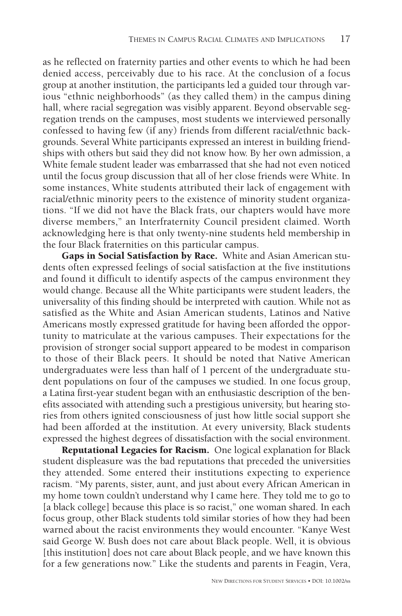as he reflected on fraternity parties and other events to which he had been denied access, perceivably due to his race. At the conclusion of a focus group at another institution, the participants led a guided tour through various "ethnic neighborhoods" (as they called them) in the campus dining hall, where racial segregation was visibly apparent. Beyond observable segregation trends on the campuses, most students we interviewed personally confessed to having few (if any) friends from different racial/ethnic backgrounds. Several White participants expressed an interest in building friendships with others but said they did not know how. By her own admission, a White female student leader was embarrassed that she had not even noticed until the focus group discussion that all of her close friends were White. In some instances, White students attributed their lack of engagement with racial/ethnic minority peers to the existence of minority student organizations. "If we did not have the Black frats, our chapters would have more diverse members," an Interfraternity Council president claimed. Worth acknowledging here is that only twenty-nine students held membership in the four Black fraternities on this particular campus.

Gaps in Social Satisfaction by Race. White and Asian American students often expressed feelings of social satisfaction at the five institutions and found it difficult to identify aspects of the campus environment they would change. Because all the White participants were student leaders, the universality of this finding should be interpreted with caution. While not as satisfied as the White and Asian American students, Latinos and Native Americans mostly expressed gratitude for having been afforded the opportunity to matriculate at the various campuses. Their expectations for the provision of stronger social support appeared to be modest in comparison to those of their Black peers. It should be noted that Native American undergraduates were less than half of 1 percent of the undergraduate student populations on four of the campuses we studied. In one focus group, a Latina first-year student began with an enthusiastic description of the benefits associated with attending such a prestigious university, but hearing stories from others ignited consciousness of just how little social support she had been afforded at the institution. At every university, Black students expressed the highest degrees of dissatisfaction with the social environment.

Reputational Legacies for Racism. One logical explanation for Black student displeasure was the bad reputations that preceded the universities they attended. Some entered their institutions expecting to experience racism. "My parents, sister, aunt, and just about every African American in my home town couldn't understand why I came here. They told me to go to [a black college] because this place is so racist," one woman shared. In each focus group, other Black students told similar stories of how they had been warned about the racist environments they would encounter. "Kanye West said George W. Bush does not care about Black people. Well, it is obvious [this institution] does not care about Black people, and we have known this for a few generations now." Like the students and parents in Feagin, Vera,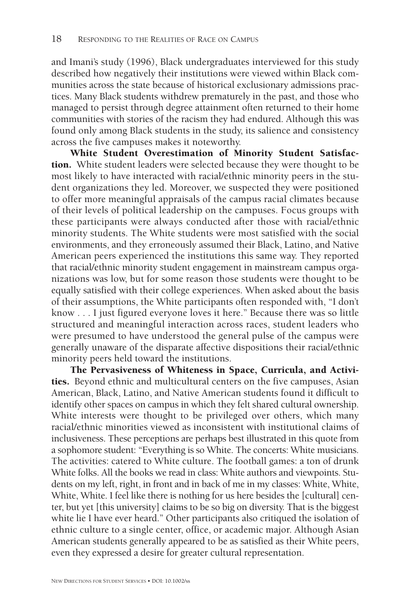and Imani's study (1996), Black undergraduates interviewed for this study described how negatively their institutions were viewed within Black communities across the state because of historical exclusionary admissions practices. Many Black students withdrew prematurely in the past, and those who managed to persist through degree attainment often returned to their home communities with stories of the racism they had endured. Although this was found only among Black students in the study, its salience and consistency across the five campuses makes it noteworthy.

White Student Overestimation of Minority Student Satisfaction. White student leaders were selected because they were thought to be most likely to have interacted with racial/ethnic minority peers in the student organizations they led. Moreover, we suspected they were positioned to offer more meaningful appraisals of the campus racial climates because of their levels of political leadership on the campuses. Focus groups with these participants were always conducted after those with racial/ethnic minority students. The White students were most satisfied with the social environments, and they erroneously assumed their Black, Latino, and Native American peers experienced the institutions this same way. They reported that racial/ethnic minority student engagement in mainstream campus organizations was low, but for some reason those students were thought to be equally satisfied with their college experiences. When asked about the basis of their assumptions, the White participants often responded with, "I don't know ...I just figured everyone loves it here." Because there was so little structured and meaningful interaction across races, student leaders who were presumed to have understood the general pulse of the campus were generally unaware of the disparate affective dispositions their racial/ethnic minority peers held toward the institutions.

The Pervasiveness of Whiteness in Space, Curricula, and Activities. Beyond ethnic and multicultural centers on the five campuses, Asian American, Black, Latino, and Native American students found it difficult to identify other spaces on campus in which they felt shared cultural ownership. White interests were thought to be privileged over others, which many racial/ethnic minorities viewed as inconsistent with institutional claims of inclusiveness. These perceptions are perhaps best illustrated in this quote from a sophomore student: "Everything is so White. The concerts: White musicians. The activities: catered to White culture. The football games: a ton of drunk White folks. All the books we read in class: White authors and viewpoints. Students on my left, right, in front and in back of me in my classes: White, White, White, White. I feel like there is nothing for us here besides the [cultural] center, but yet [this university] claims to be so big on diversity. That is the biggest white lie I have ever heard." Other participants also critiqued the isolation of ethnic culture to a single center, office, or academic major. Although Asian American students generally appeared to be as satisfied as their White peers, even they expressed a desire for greater cultural representation.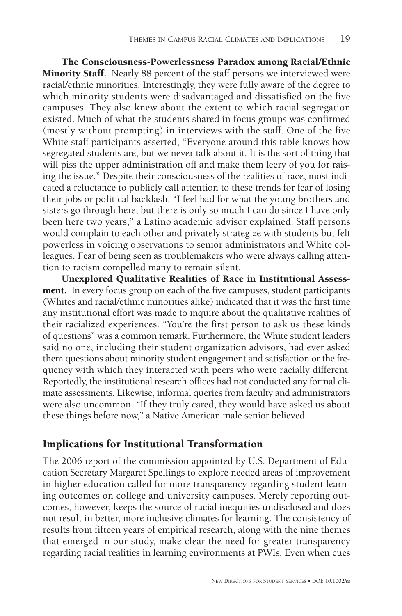The Consciousness-Powerlessness Paradox among Racial/Ethnic Minority Staff. Nearly 88 percent of the staff persons we interviewed were racial/ethnic minorities. Interestingly, they were fully aware of the degree to which minority students were disadvantaged and dissatisfied on the five campuses. They also knew about the extent to which racial segregation existed. Much of what the students shared in focus groups was confirmed (mostly without prompting) in interviews with the staff. One of the five White staff participants asserted, "Everyone around this table knows how segregated students are, but we never talk about it. It is the sort of thing that will piss the upper administration off and make them leery of you for raising the issue." Despite their consciousness of the realities of race, most indicated a reluctance to publicly call attention to these trends for fear of losing their jobs or political backlash. "I feel bad for what the young brothers and sisters go through here, but there is only so much I can do since I have only been here two years," a Latino academic advisor explained. Staff persons would complain to each other and privately strategize with students but felt powerless in voicing observations to senior administrators and White colleagues. Fear of being seen as troublemakers who were always calling attention to racism compelled many to remain silent.

Unexplored Qualitative Realities of Race in Institutional Assessment. In every focus group on each of the five campuses, student participants (Whites and racial/ethnic minorities alike) indicated that it was the first time any institutional effort was made to inquire about the qualitative realities of their racialized experiences. "You're the first person to ask us these kinds of questions" was a common remark. Furthermore, the White student leaders said no one, including their student organization advisors, had ever asked them questions about minority student engagement and satisfaction or the frequency with which they interacted with peers who were racially different. Reportedly, the institutional research offices had not conducted any formal climate assessments. Likewise, informal queries from faculty and administrators were also uncommon. "If they truly cared, they would have asked us about these things before now," a Native American male senior believed.

#### Implications for Institutional Transformation

The 2006 report of the commission appointed by U.S. Department of Education Secretary Margaret Spellings to explore needed areas of improvement in higher education called for more transparency regarding student learning outcomes on college and university campuses. Merely reporting outcomes, however, keeps the source of racial inequities undisclosed and does not result in better, more inclusive climates for learning. The consistency of results from fifteen years of empirical research, along with the nine themes that emerged in our study, make clear the need for greater transparency regarding racial realities in learning environments at PWIs. Even when cues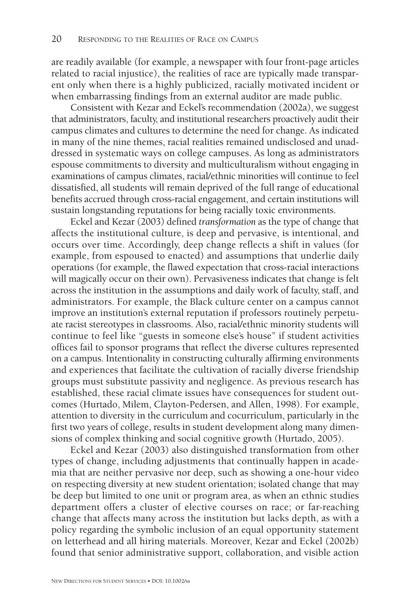are readily available (for example, a newspaper with four front-page articles related to racial injustice), the realities of race are typically made transparent only when there is a highly publicized, racially motivated incident or when embarrassing findings from an external auditor are made public.

Consistent with Kezar and Eckel's recommendation (2002a), we suggest that administrators, faculty, and institutional researchers proactively audit their campus climates and cultures to determine the need for change. As indicated in many of the nine themes, racial realities remained undisclosed and unaddressed in systematic ways on college campuses. As long as administrators espouse commitments to diversity and multiculturalism without engaging in examinations of campus climates, racial/ethnic minorities will continue to feel dissatisfied, all students will remain deprived of the full range of educational benefits accrued through cross-racial engagement, and certain institutions will sustain longstanding reputations for being racially toxic environments.

Eckel and Kezar (2003) defined *transformation* as the type of change that affects the institutional culture, is deep and pervasive, is intentional, and occurs over time. Accordingly, deep change reflects a shift in values (for example, from espoused to enacted) and assumptions that underlie daily operations (for example, the flawed expectation that cross-racial interactions will magically occur on their own). Pervasiveness indicates that change is felt across the institution in the assumptions and daily work of faculty, staff, and administrators. For example, the Black culture center on a campus cannot improve an institution's external reputation if professors routinely perpetuate racist stereotypes in classrooms. Also, racial/ethnic minority students will continue to feel like "guests in someone else's house" if student activities offices fail to sponsor programs that reflect the diverse cultures represented on a campus. Intentionality in constructing culturally affirming environments and experiences that facilitate the cultivation of racially diverse friendship groups must substitute passivity and negligence. As previous research has established, these racial climate issues have consequences for student outcomes (Hurtado, Milem, Clayton-Pedersen, and Allen, 1998). For example, attention to diversity in the curriculum and cocurriculum, particularly in the first two years of college, results in student development along many dimensions of complex thinking and social cognitive growth (Hurtado, 2005).

Eckel and Kezar (2003) also distinguished transformation from other types of change, including adjustments that continually happen in academia that are neither pervasive nor deep, such as showing a one-hour video on respecting diversity at new student orientation; isolated change that may be deep but limited to one unit or program area, as when an ethnic studies department offers a cluster of elective courses on race; or far-reaching change that affects many across the institution but lacks depth, as with a policy regarding the symbolic inclusion of an equal opportunity statement on letterhead and all hiring materials. Moreover, Kezar and Eckel (2002b) found that senior administrative support, collaboration, and visible action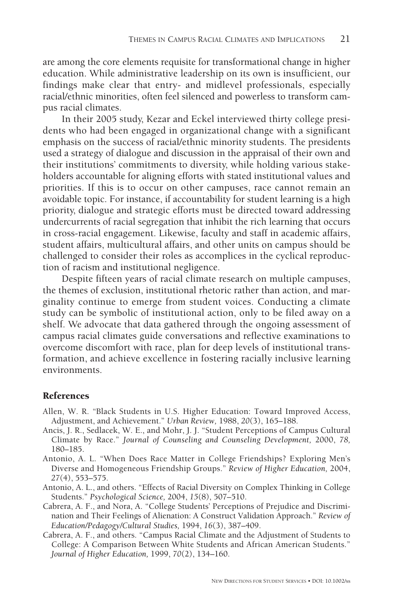are among the core elements requisite for transformational change in higher education. While administrative leadership on its own is insufficient, our findings make clear that entry- and midlevel professionals, especially racial/ethnic minorities, often feel silenced and powerless to transform campus racial climates.

In their 2005 study, Kezar and Eckel interviewed thirty college presidents who had been engaged in organizational change with a significant emphasis on the success of racial/ethnic minority students. The presidents used a strategy of dialogue and discussion in the appraisal of their own and their institutions' commitments to diversity, while holding various stakeholders accountable for aligning efforts with stated institutional values and priorities. If this is to occur on other campuses, race cannot remain an avoidable topic. For instance, if accountability for student learning is a high priority, dialogue and strategic efforts must be directed toward addressing undercurrents of racial segregation that inhibit the rich learning that occurs in cross-racial engagement. Likewise, faculty and staff in academic affairs, student affairs, multicultural affairs, and other units on campus should be challenged to consider their roles as accomplices in the cyclical reproduction of racism and institutional negligence.

Despite fifteen years of racial climate research on multiple campuses, the themes of exclusion, institutional rhetoric rather than action, and marginality continue to emerge from student voices. Conducting a climate study can be symbolic of institutional action, only to be filed away on a shelf. We advocate that data gathered through the ongoing assessment of campus racial climates guide conversations and reflective examinations to overcome discomfort with race, plan for deep levels of institutional transformation, and achieve excellence in fostering racially inclusive learning environments.

#### References

- Allen, W. R. "Black Students in U.S. Higher Education: Toward Improved Access, Adjustment, and Achievement." *Urban Review,* 1988, *20*(3), 165–188.
- Ancis, J. R., Sedlacek, W. E., and Mohr, J. J. "Student Perceptions of Campus Cultural Climate by Race." *Journal of Counseling and Counseling Development,* 2000, *78,* 180–185.
- Antonio, A. L. "When Does Race Matter in College Friendships? Exploring Men's Diverse and Homogeneous Friendship Groups." *Review of Higher Education,* 2004, *27*(4), 553–575.
- Antonio, A. L., and others. "Effects of Racial Diversity on Complex Thinking in College Students." *Psychological Science,* 2004, *15*(8), 507–510.
- Cabrera, A. F., and Nora, A. "College Students' Perceptions of Prejudice and Discrimination and Their Feelings of Alienation: A Construct Validation Approach." *Review of Education/Pedagogy/Cultural Studies,* 1994, *16*(3), 387–409.
- Cabrera, A. F., and others. "Campus Racial Climate and the Adjustment of Students to College: A Comparison Between White Students and African American Students." *Journal of Higher Education,* 1999, *70*(2), 134–160.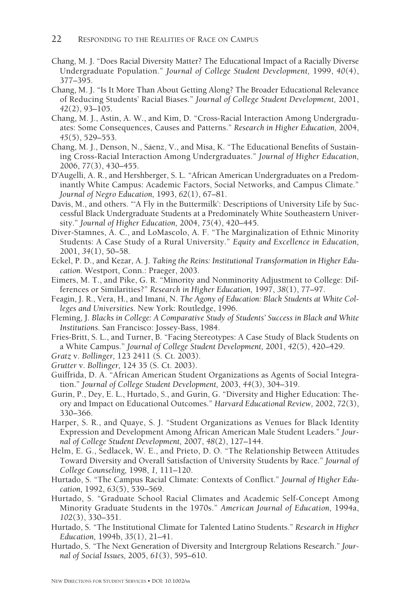- Chang, M. J. "Does Racial Diversity Matter? The Educational Impact of a Racially Diverse Undergraduate Population." *Journal of College Student Development,* 1999, *40*(4), 377–395.
- Chang, M. J. "Is It More Than About Getting Along? The Broader Educational Relevance of Reducing Students' Racial Biases." *Journal of College Student Development,* 2001, *42*(2), 93–105.
- Chang, M. J., Astin, A. W., and Kim, D. "Cross-Racial Interaction Among Undergraduates: Some Consequences, Causes and Patterns." *Research in Higher Education,* 2004, *45*(5), 529–553.
- Chang, M. J., Denson, N., Sáenz, V., and Misa, K. "The Educational Benefits of Sustaining Cross-Racial Interaction Among Undergraduates." *Journal of Higher Education,* 2006, *77*(3), 430–455.
- D'Augelli, A. R., and Hershberger, S. L. "African American Undergraduates on a Predominantly White Campus: Academic Factors, Social Networks, and Campus Climate." *Journal of Negro Education,* 1993, *62*(1), 67–81.
- Davis, M., and others. "'A Fly in the Buttermilk': Descriptions of University Life by Successful Black Undergraduate Students at a Predominately White Southeastern University." *Journal of Higher Education,* 2004, *75*(4), 420–445.
- Diver-Stamnes, A. C., and LoMascolo, A. F. "The Marginalization of Ethnic Minority Students: A Case Study of a Rural University." *Equity and Excellence in Education,* 2001, *34*(1), 50–58.
- Eckel, P. D., and Kezar, A. J. *Taking the Reins: Institutional Transformation in Higher Education.* Westport, Conn.: Praeger, 2003.
- Eimers, M. T., and Pike, G. R. "Minority and Nonminority Adjustment to College: Differences or Similarities?" *Research in Higher Education,* 1997, *38*(1), 77–97.
- Feagin, J. R., Vera, H., and Imani, N. *The Agony of Education: Black Students at White Colleges and Universities.* New York: Routledge, 1996.
- Fleming, J. *Blacks in College: A Comparative Study of Students' Success in Black and White Institutions.* San Francisco: Jossey-Bass, 1984.
- Fries-Britt, S. L., and Turner, B. "Facing Stereotypes: A Case Study of Black Students on a White Campus." *Journal of College Student Development,* 2001, *42*(5), 420–429.
- *Gratz* v. *Bollinger,* 123 2411 (S. Ct. 2003).
- *Grutter* v. *Bollinger,* 124 35 (S. Ct. 2003).
- Guiffrida, D. A. "African American Student Organizations as Agents of Social Integration." *Journal of College Student Development,* 2003, *44*(3), 304–319.
- Gurin, P., Dey, E. L., Hurtado, S., and Gurin, G. "Diversity and Higher Education: Theory and Impact on Educational Outcomes." *Harvard Educational Review,* 2002, *72*(3), 330–366.
- Harper, S. R., and Quaye, S. J. "Student Organizations as Venues for Black Identity Expression and Development Among African American Male Student Leaders." *Journal of College Student Development,* 2007, *48*(2), 127–144.
- Helm, E. G., Sedlacek, W. E., and Prieto, D. O. "The Relationship Between Attitudes Toward Diversity and Overall Satisfaction of University Students by Race." *Journal of College Counseling,* 1998, *1,* 111–120.
- Hurtado, S. "The Campus Racial Climate: Contexts of Conflict." *Journal of Higher Education,* 1992, *63*(5), 539–569.
- Hurtado, S. "Graduate School Racial Climates and Academic Self-Concept Among Minority Graduate Students in the 1970s." *American Journal of Education,* 1994a, *102*(3), 330–351.
- Hurtado, S. "The Institutional Climate for Talented Latino Students." *Research in Higher Education,* 1994b, *35*(1), 21–41.
- Hurtado, S. "The Next Generation of Diversity and Intergroup Relations Research." *Journal of Social Issues,* 2005, *61*(3), 595–610.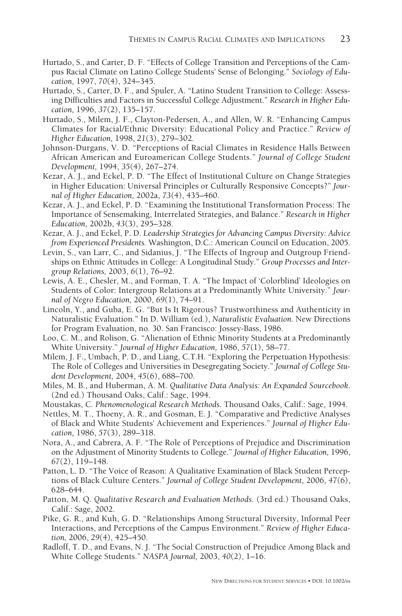- Hurtado, S., and Carter, D. F. "Effects of College Transition and Perceptions of the Campus Racial Climate on Latino College Students' Sense of Belonging." *Sociology of Education,* 1997, *70*(4), 324–345.
- Hurtado, S., Carter, D. F., and Spuler, A. "Latino Student Transition to College: Assessing Difficulties and Factors in Successful College Adjustment." *Research in Higher Education,* 1996, *37*(2), 135–157.
- Hurtado, S., Milem, J. F., Clayton-Pedersen, A., and Allen, W. R. "Enhancing Campus Climates for Racial/Ethnic Diversity: Educational Policy and Practice." *Review of Higher Education,* 1998, *21*(3), 279–302.
- Johnson-Durgans, V. D. "Perceptions of Racial Climates in Residence Halls Between African American and Euroamerican College Students." *Journal of College Student Development,* 1994, *35*(4), 267–274.
- Kezar, A. J., and Eckel, P. D. "The Effect of Institutional Culture on Change Strategies in Higher Education: Universal Principles or Culturally Responsive Concepts?" *Journal of Higher Education,* 2002a, *73*(4), 435–460.
- Kezar, A. J., and Eckel, P. D. "Examining the Institutional Transformation Process: The Importance of Sensemaking, Interrelated Strategies, and Balance." *Research in Higher Education,* 2002b, *43*(3), 295–328.
- Kezar, A. J., and Eckel, P. D. *Leadership Strategies for Advancing Campus Diversity: Advice from Experienced Presidents.* Washington, D.C.: American Council on Education, 2005.
- Levin, S., van Larr, C., and Sidanius, J. "The Effects of Ingroup and Outgroup Friendships on Ethnic Attitudes in College: A Longitudinal Study." *Group Processes and Intergroup Relations,* 2003, *6*(1), 76–92.
- Lewis, A. E., Chesler, M., and Forman, T. A. "The Impact of 'Colorblind' Ideologies on Students of Color: Intergroup Relations at a Predominantly White University." *Journal of Negro Education,* 2000, *69*(1), 74–91.
- Lincoln, Y., and Guba, E. G. "But Is It Rigorous? Trustworthiness and Authenticity in Naturalistic Evaluation." In D. William (ed.), *Naturalistic Evaluation.* New Directions for Program Evaluation, no. 30. San Francisco: Jossey-Bass, 1986.
- Loo, C. M., and Rolison, G. "Alienation of Ethnic Minority Students at a Predominantly White University." *Journal of Higher Education,* 1986, *57*(1), 58–77.
- Milem, J. F., Umbach, P. D., and Liang, C.T.H. "Exploring the Perpetuation Hypothesis: The Role of Colleges and Universities in Desegregating Society." *Journal of College Student Development,* 2004, *45*(6), 688–700.
- Miles, M. B., and Huberman, A. M. *Qualitative Data Analysis: An Expanded Sourcebook.* (2nd ed.) Thousand Oaks, Calif.: Sage, 1994.
- Moustakas, C. *Phenomenological Research Methods.* Thousand Oaks, Calif.: Sage, 1994.
- Nettles, M. T., Thoeny, A. R., and Gosman, E. J. "Comparative and Predictive Analyses of Black and White Students' Achievement and Experiences." *Journal of Higher Education,* 1986, *57*(3), 289–318.
- Nora, A., and Cabrera, A. F. "The Role of Perceptions of Prejudice and Discrimination on the Adjustment of Minority Students to College." *Journal of Higher Education,* 1996, *67*(2), 119–148.
- Patton, L. D. "The Voice of Reason: A Qualitative Examination of Black Student Perceptions of Black Culture Centers." *Journal of College Student Development,* 2006, *47*(6), 628–644.
- Patton, M. Q. *Qualitative Research and Evaluation Methods.* (3rd ed.) Thousand Oaks, Calif.: Sage, 2002.
- Pike, G. R., and Kuh, G. D. "Relationships Among Structural Diversity, Informal Peer Interactions, and Perceptions of the Campus Environment." *Review of Higher Education,* 2006, *29*(4), 425–450.
- Radloff, T. D., and Evans, N. J. "The Social Construction of Prejudice Among Black and White College Students." *NASPA Journal,* 2003, *40*(2), 1–16.